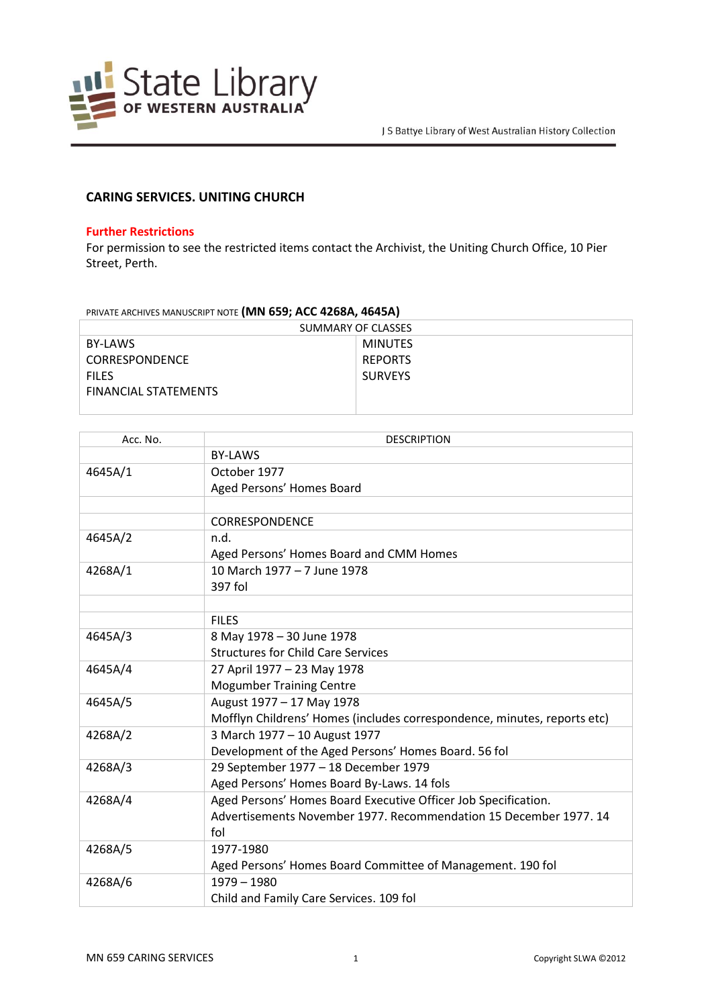

## **CARING SERVICES. UNITING CHURCH**

## **Further Restrictions**

For permission to see the restricted items contact the Archivist, the Uniting Church Office, 10 Pier Street, Perth.

## PRIVATE ARCHIVES MANUSCRIPT NOTE **(MN 659; ACC 4268A, 4645A)**

| SUMMARY OF CLASSES          |                |  |
|-----------------------------|----------------|--|
| BY-LAWS                     | <b>MINUTES</b> |  |
| <b>CORRESPONDENCE</b>       | <b>REPORTS</b> |  |
| <b>FILES</b>                | <b>SURVEYS</b> |  |
| <b>FINANCIAL STATEMENTS</b> |                |  |
|                             |                |  |

| Acc. No. | <b>DESCRIPTION</b>                                                       |
|----------|--------------------------------------------------------------------------|
|          | <b>BY-LAWS</b>                                                           |
| 4645A/1  | October 1977                                                             |
|          | Aged Persons' Homes Board                                                |
|          |                                                                          |
|          | <b>CORRESPONDENCE</b>                                                    |
| 4645A/2  | n.d.                                                                     |
|          | Aged Persons' Homes Board and CMM Homes                                  |
| 4268A/1  | 10 March 1977 - 7 June 1978                                              |
|          | 397 fol                                                                  |
|          |                                                                          |
|          | <b>FILES</b>                                                             |
| 4645A/3  | 8 May 1978 - 30 June 1978                                                |
|          | <b>Structures for Child Care Services</b>                                |
| 4645A/4  | 27 April 1977 - 23 May 1978                                              |
|          | <b>Mogumber Training Centre</b>                                          |
| 4645A/5  | August 1977 - 17 May 1978                                                |
|          | Mofflyn Childrens' Homes (includes correspondence, minutes, reports etc) |
| 4268A/2  | 3 March 1977 - 10 August 1977                                            |
|          | Development of the Aged Persons' Homes Board. 56 fol                     |
| 4268A/3  | 29 September 1977 - 18 December 1979                                     |
|          | Aged Persons' Homes Board By-Laws. 14 fols                               |
| 4268A/4  | Aged Persons' Homes Board Executive Officer Job Specification.           |
|          | Advertisements November 1977. Recommendation 15 December 1977. 14        |
|          | fol                                                                      |
| 4268A/5  | 1977-1980                                                                |
|          | Aged Persons' Homes Board Committee of Management. 190 fol               |
| 4268A/6  | $1979 - 1980$                                                            |
|          | Child and Family Care Services. 109 fol                                  |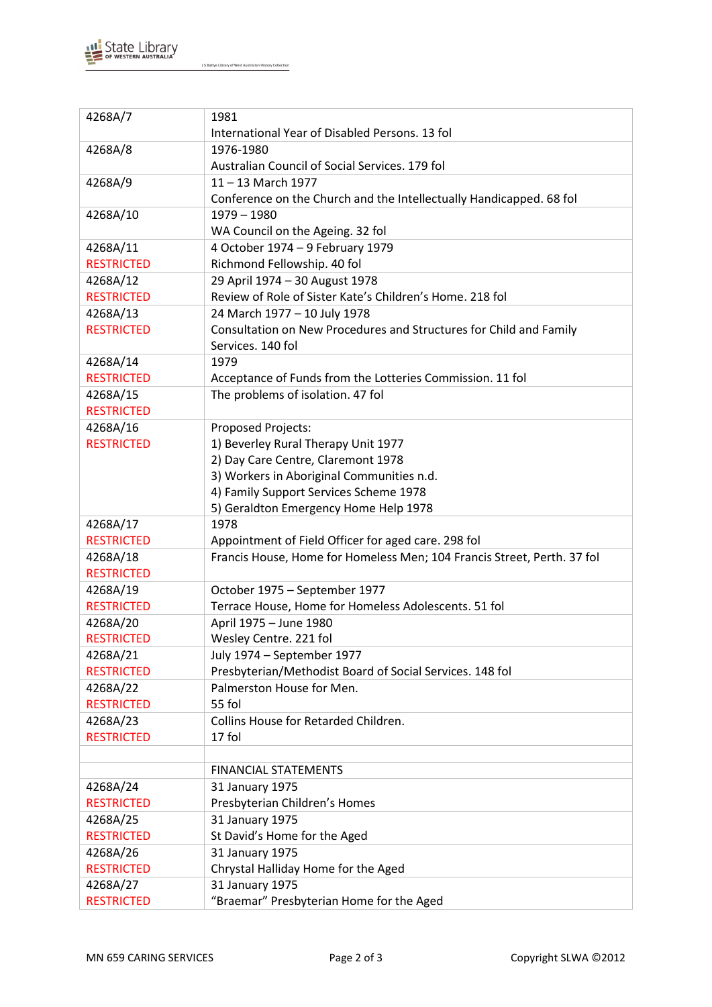

J S Battye Library of West Australian History Collection

| 4268A/7                       | 1981<br>International Year of Disabled Persons. 13 fol                  |
|-------------------------------|-------------------------------------------------------------------------|
| 4268A/8                       | 1976-1980                                                               |
|                               | Australian Council of Social Services. 179 fol                          |
| 4268A/9                       | $11 - 13$ March 1977                                                    |
|                               | Conference on the Church and the Intellectually Handicapped. 68 fol     |
| 4268A/10                      | 1979 - 1980                                                             |
|                               | WA Council on the Ageing. 32 fol                                        |
| 4268A/11                      | 4 October 1974 - 9 February 1979                                        |
| <b>RESTRICTED</b>             | Richmond Fellowship. 40 fol                                             |
| 4268A/12                      | 29 April 1974 - 30 August 1978                                          |
| <b>RESTRICTED</b>             | Review of Role of Sister Kate's Children's Home. 218 fol                |
| 4268A/13                      | 24 March 1977 - 10 July 1978                                            |
| <b>RESTRICTED</b>             | Consultation on New Procedures and Structures for Child and Family      |
|                               | Services. 140 fol                                                       |
| 4268A/14                      | 1979                                                                    |
| <b>RESTRICTED</b>             | Acceptance of Funds from the Lotteries Commission. 11 fol               |
| 4268A/15                      | The problems of isolation. 47 fol                                       |
| <b>RESTRICTED</b>             |                                                                         |
| 4268A/16                      | Proposed Projects:                                                      |
| <b>RESTRICTED</b>             | 1) Beverley Rural Therapy Unit 1977                                     |
|                               | 2) Day Care Centre, Claremont 1978                                      |
|                               | 3) Workers in Aboriginal Communities n.d.                               |
|                               | 4) Family Support Services Scheme 1978                                  |
|                               | 5) Geraldton Emergency Home Help 1978                                   |
| 4268A/17                      | 1978                                                                    |
| <b>RESTRICTED</b>             | Appointment of Field Officer for aged care. 298 fol                     |
| 4268A/18                      | Francis House, Home for Homeless Men; 104 Francis Street, Perth. 37 fol |
| <b>RESTRICTED</b>             |                                                                         |
| 4268A/19                      | October 1975 - September 1977                                           |
| <b>RESTRICTED</b>             | Terrace House, Home for Homeless Adolescents. 51 fol                    |
| 4268A/20                      | April 1975 - June 1980                                                  |
| <b>RESTRICTED</b>             | Wesley Centre. 221 fol                                                  |
| 4268A/21                      | July 1974 - September 1977                                              |
| <b>RESTRICTED</b>             | Presbyterian/Methodist Board of Social Services. 148 fol                |
| 4268A/22                      | Palmerston House for Men.                                               |
| <b>RESTRICTED</b>             | 55 fol                                                                  |
| 4268A/23                      | Collins House for Retarded Children.                                    |
| <b>RESTRICTED</b>             | 17 fol                                                                  |
|                               |                                                                         |
|                               | <b>FINANCIAL STATEMENTS</b>                                             |
| 4268A/24<br><b>RESTRICTED</b> | 31 January 1975<br>Presbyterian Children's Homes                        |
| 4268A/25                      |                                                                         |
| <b>RESTRICTED</b>             | 31 January 1975<br>St David's Home for the Aged                         |
| 4268A/26                      |                                                                         |
| <b>RESTRICTED</b>             | 31 January 1975                                                         |
|                               | Chrystal Halliday Home for the Aged                                     |
| 4268A/27                      | 31 January 1975                                                         |
| <b>RESTRICTED</b>             | "Braemar" Presbyterian Home for the Aged                                |